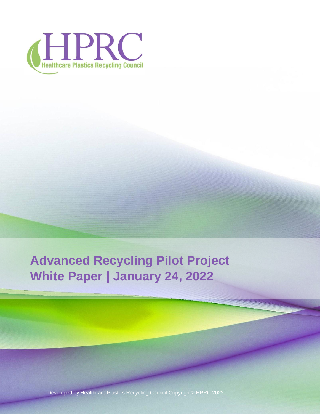

**Advanced Recycling Pilot Project White Paper | January 24, 2022**

Developed by Healthcare Plastics Recycling Council Copyright© HPRC 2022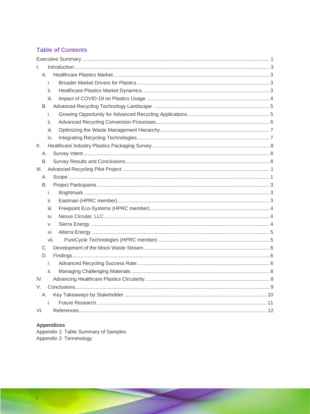## **Table of Contents**

| L.   |  |
|------|--|
| А.   |  |
| i.   |  |
| ii.  |  |
| iii. |  |
| B.   |  |
| i.   |  |
| ii.  |  |
| iii. |  |
| iv.  |  |
| Ⅱ.   |  |
| А.   |  |
| В.   |  |
| III. |  |
| Α.   |  |
| В.   |  |
| i.   |  |
| ii.  |  |
| iii. |  |
| iv.  |  |
| V.   |  |
| vi.  |  |
| vii. |  |
| C.   |  |
| D.   |  |
| i.   |  |
| ii.  |  |
| IV.  |  |
| V.   |  |
| А.   |  |
| i.   |  |
| VI.  |  |

**Appendices**<br>Appendix 1: Table Summary of Samples<br>Appendix 2: Terminology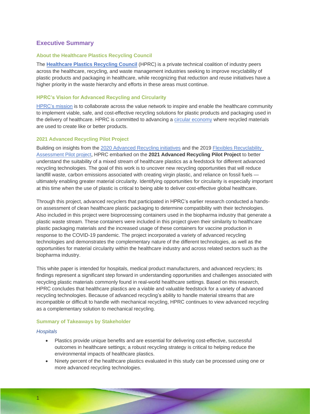## <span id="page-2-0"></span>**Executive Summary**

#### **About the Healthcare Plastics Recycling Council**

The **[Healthcare Plastics Recycling Council](https://www.hprc.org/about-hprc)** (HPRC) is a private technical coalition of industry peers across the healthcare, recycling, and waste management industries seeking to improve recyclability of plastic products and packaging in healthcare, while recognizing that reduction and reuse initiatives have a higher priority in the waste hierarchy and efforts in these areas must continue.

#### **HPRC's Vision for Advanced Recycling and Circularity**

[HPRC's mission](https://www.hprc.org/about-hprc) is to collaborate [across the value network](https://www.hprc.org/solutions) to inspire and enable the healthcare community to implement viable, safe, and cost-effective recycling solutions for plastic products and packaging used in the delivery of healthcare. HPRC is committed to advancing a [circular economy](https://www.hprc.org/circularity-for-healthcare-plastics) where recycled materials are used to create like or better products.

#### **2021 Advanced Recycling Pilot Project**

Building on insights from the [2020 Advanced Recycling initiatives](https://www.hprc.org/advanced-recycling-white-paper) and the 2019 [Flexibles Recyclability](https://www.hprc.org/flexibles-recycling-pilot)  [Assessment Pilot project,](https://www.hprc.org/flexibles-recycling-pilot) HPRC embarked on the **2021 Advanced Recycling Pilot Project** to better understand the suitability of a mixed stream of healthcare plastics as a feedstock for different advanced recycling technologies. The goal of this work is to uncover new recycling opportunities that will reduce landfill waste, carbon emissions associated with creating virgin plastic, and reliance on fossil fuels ultimately enabling greater material circularity. Identifying opportunities for circularity is especially important at this time when the use of plastic is critical to being able to deliver cost-effective global healthcare.

Through this project, advanced recyclers that participated in HPRC's earlier research conducted a handson assessment of clean healthcare plastic packaging to determine compatibility with their technologies. Also included in this project were bioprocessing containers used in the biopharma industry that generate a plastic waste stream. These containers were included in this project given their similarity to healthcare plastic packaging materials and the increased usage of these containers for vaccine production in response to the COVID-19 pandemic. The project incorporated a variety of advanced recycling technologies and demonstrates the complementary nature of the different technologies, as well as the opportunities for material circularity within the healthcare industry and across related sectors such as the biopharma industry.

This white paper is intended for hospitals, medical product manufacturers, and advanced recyclers; its findings represent a significant step forward in understanding opportunities and challenges associated with recycling plastic materials commonly found in real-world healthcare settings. Based on this research, HPRC concludes that healthcare plastics are a viable and valuable feedstock for a variety of advanced recycling technologies. Because of advanced recycling's ability to handle material streams that are incompatible or difficult to handle with mechanical recycling, HPRC continues to view advanced recycling as a complementary solution to mechanical recycling.

#### **Summary of Takeaways by Stakeholder**

#### *Hospitals*

- Plastics provide unique benefits and are essential for delivering cost-effective, successful outcomes in healthcare settings; a robust recycling strategy is critical to helping reduce the environmental impacts of healthcare plastics.
- Ninety percent of the healthcare plastics evaluated in this study can be processed using one or more advanced recycling technologies.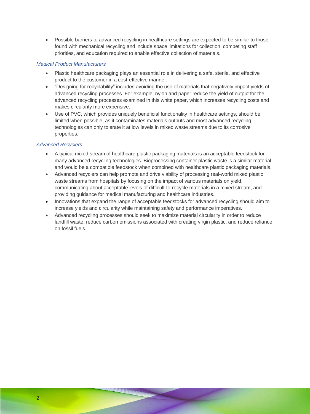• Possible barriers to advanced recycling in healthcare settings are expected to be similar to those found with mechanical recycling and include space limitations for collection, competing staff priorities, and education required to enable effective collection of materials.

#### *Medical Product Manufacturers*

- Plastic healthcare packaging plays an essential role in delivering a safe, sterile, and effective product to the customer in a cost-effective manner.
- "Designing for recyclability" includes avoiding the use of materials that negatively impact yields of advanced recycling processes. For example, nylon and paper reduce the yield of output for the advanced recycling processes examined in this white paper, which increases recycling costs and makes circularity more expensive.
- Use of PVC, which provides uniquely beneficial functionality in healthcare settings, should be limited when possible, as it contaminates materials outputs and most advanced recycling technologies can only tolerate it at low levels in mixed waste streams due to its corrosive properties.

## *Advanced Recyclers*

- A typical mixed stream of healthcare plastic packaging materials is an acceptable feedstock for many advanced recycling technologies. Bioprocessing container plastic waste is a similar material and would be a compatible feedstock when combined with healthcare plastic packaging materials.
- Advanced recyclers can help promote and drive viability of processing real-world mixed plastic waste streams from hospitals by focusing on the impact of various materials on yield, communicating about acceptable levels of difficult-to-recycle materials in a mixed stream, and providing guidance for medical manufacturing and healthcare industries.
- Innovations that expand the range of acceptable feedstocks for advanced recycling should aim to increase yields and circularity while maintaining safety and performance imperatives.
- Advanced recycling processes should seek to maximize material circularity in order to reduce landfill waste, reduce carbon emissions associated with creating virgin plastic, and reduce reliance on fossil fuels.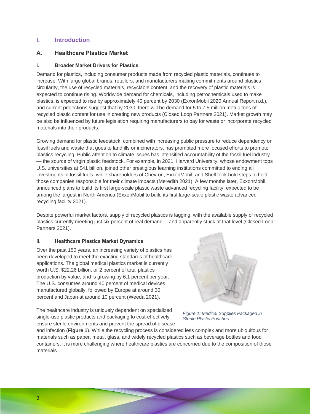## <span id="page-4-0"></span>**I. Introduction**

## <span id="page-4-1"></span>**A. Healthcare Plastics Market**

## <span id="page-4-2"></span>**i. Broader Market Drivers for Plastics**

Demand for plastics, including consumer products made from recycled plastic materials, continues to increase. With large global brands, retailers, and manufacturers making commitments around plastics circularity, the use of recycled materials, recyclable content, and the recovery of plastic materials is expected to continue rising. Worldwide demand for chemicals, including petrochemicals used to make plastics, is expected to rise by approximately 40 percent by 2030 (ExxonMobil 2020 Annual Report n.d.), and current projections suggest that by 2030, there will be demand for 5 to 7.5 million metric tons of recycled plastic content for use in creating new products (Closed Loop Partners 2021). Market growth may be also be influenced by future legislation requiring manufacturers to pay for waste or incorporate recycled materials into their products.

Growing demand for plastic feedstock, combined with increasing public pressure to reduce dependency on fossil fuels and waste that goes to landfills or incinerators, has prompted more focused efforts to promote plastics recycling. Public attention to climate issues has intensified accountability of the fossil fuel industry — the source of virgin plastic feedstock. For example, in 2021, Harvard University, whose endowment tops U.S. universities at \$41 billion, joined other prestigious learning institutions committed to ending all investments in fossil fuels, while shareholders of Chevron, ExxonMobil, and Shell took bold steps to hold those companies responsible for their climate impacts (Meredith 2021). A few months later, ExxonMobil announced plans to build its first large-scale plastic waste advanced recycling facility, expected to be among the largest in North America (ExxonMobil to build its first large-scale plastic waste advanced recycling facility 2021).

Despite powerful market factors, supply of recycled plastics is lagging, with the available supply of recycled plastics currently meeting just six percent of real demand —and apparently stuck at that level (Closed Loop Partners 2021).

#### <span id="page-4-3"></span>**ii. Healthcare Plastics Market Dynamics**

Over the past 150 years, an increasing variety of plastics has been developed to meet the exacting standards of healthcare applications. The global medical plastics market is currently worth U.S. \$22.26 billion, or 2 percent of total plastics production by value, and is growing by 6.1 percent per year. The U.S. consumes around 40 percent of medical devices manufactured globally, followed by Europe at around 30 percent and Japan at around 10 percent (Weeda 2021).

The healthcare industry is uniquely dependent on specialized single-use plastic products and packaging to cost-effectively ensure sterile environments and prevent the spread of disease



*Figure 1: Medical Supplies Packaged in Sterile Plastic Pouches*

and infection (**Figure 1**). While the recycling process is considered less complex and more ubiquitous for materials such as paper, metal, glass, and widely recycled plastics such as beverage bottles and food containers, it is more challenging where healthcare plastics are concerned due to the composition of those materials.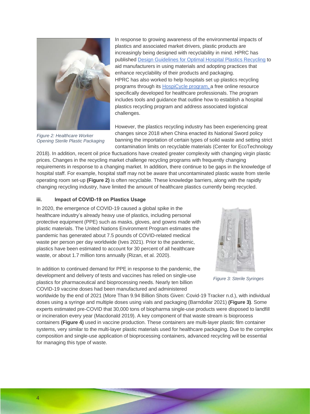

*Figure 2: Healthcare Worker Opening Sterile Plastic Packaging*

In response to growing awareness of the environmental impacts of plastics and associated market drivers, plastic products are increasingly being designed with recyclability in mind. HPRC has published [Design Guidelines for Optimal Hospital Plastics Recycling](https://40864656-dd71-4c8a-a82d-dffa36a152a5.filesusr.com/ugd/49d7a0_16dc3540ea004c21bf72a7ae19f6f7f0.pdf) to aid manufacturers in using materials and adopting practices that enhance recyclability of their products and packaging. HPRC has also worked to help hospitals set up plastics recycling programs through its [HospiCycle program,](https://www.hprc.org/hospicycle) a free online resource specifically developed for healthcare professionals. The program includes tools and guidance that outline how to establish a hospital plastics recycling program and address associated logistical challenges.

However, the plastics recycling industry has been experiencing great changes since 2018 when China enacted its National Sword policy banning the importation of certain types of solid waste and setting strict contamination limits on recyclable materials (Center for EcoTechnology

2018). In addition, recent oil price fluctuations have created greater complexity with changing virgin plastic prices. Changes in the recycling market challenge recycling programs with frequently changing requirements in response to a changing market. In addition, there continue to be gaps in the knowledge of hospital staff. For example, hospital staff may not be aware that uncontaminated plastic waste from sterile operating room set-up **(Figure 2)** is often recyclable. These knowledge barriers, along with the rapidly changing recycling industry, have limited the amount of healthcare plastics currently being recycled.

## <span id="page-5-0"></span>**iii. Impact of COVID-19 on Plastics Usage**

In 2020, the emergence of COVID-19 caused a global spike in the healthcare industry's already heavy use of plastics, including personal protective equipment (PPE) such as masks, gloves, and gowns made with plastic materials. The United Nations Environment Program estimates the pandemic has generated about 7.5 pounds of COVID-related medical waste per person per day worldwide (Ives 2021). Prior to the pandemic, plastics have been estimated to account for 30 percent of all healthcare waste, or about 1.7 million tons annually (Rizan, et al. 2020).

In addition to continued demand for PPE in response to the pandemic, the development and delivery of tests and vaccines has relied on single-use plastics for pharmaceutical and bioprocessing needs. Nearly ten billion COVID-19 vaccine doses had been manufactured and administered



*Figure 3: Sterile Syringes*

worldwide by the end of 2021 (More Than 9.94 Billion Shots Given: Covid-19 Tracker n.d.), with individual doses using a syringe and multiple doses using vials and packaging (Barndollar 2021) **(Figure 3)***.* Some experts estimated pre-COVID that 30,000 tons of biopharma single-use products were disposed to landfill or incineration every year (Macdonald 2019). A key component of that waste stream is bioprocess containers **(Figure 4)** used in vaccine production. These containers are multi-layer plastic film container systems, very similar to the multi-layer plastic materials used for healthcare packaging. Due to the complex composition and single-use application of bioprocessing containers, advanced recycling will be essential for managing this type of waste.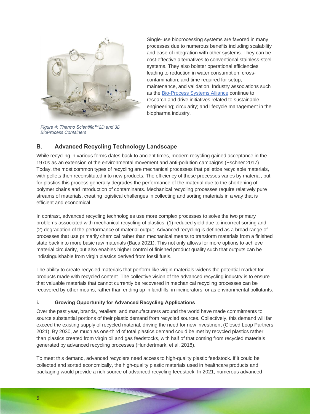

*Figure 4: Thermo Scientific™2D and 3D BioProcess Containers*

Single-use bioprocessing systems are favored in many processes due to numerous benefits including scalability and ease of integration with other systems. They can be cost-effective alternatives to conventional stainless-steel systems. They also bolster operational efficiencies leading to reduction in water consumption, crosscontamination; and time required for setup, maintenance, and validation. Industry associations such as the [Bio-Process Systems Alliance](https://bpsalliance.org/) continue to research and drive initiatives related to sustainable engineering; circularity; and lifecycle management in the biopharma industry.

## <span id="page-6-0"></span>**B. Advanced Recycling Technology Landscape**

While recycling in various forms dates back to ancient times, modern recycling gained acceptance in the 1970s as an extension of the environmental movement and anti-pollution campaigns (Eschner 2017). Today, the most common types of recycling are mechanical processes that pelletize recyclable materials, with pellets then reconstituted into new products. The efficiency of these processes varies by material, but for plastics this process generally degrades the performance of the material due to the shortening of polymer chains and introduction of contaminants. Mechanical recycling processes require relatively pure streams of materials, creating logistical challenges in collecting and sorting materials in a way that is efficient and economical.

In contrast, advanced recycling technologies use more complex processes to solve the two primary problems associated with mechanical recycling of plastics: (1) reduced yield due to incorrect sorting and (2) degradation of the performance of material output. Advanced recycling is defined as a broad range of processes that use primarily chemical rather than mechanical means to transform materials from a finished state back into more basic raw materials (Baca 2021). This not only allows for more options to achieve material circularity, but also enables higher control of finished product quality such that outputs can be indistinguishable from virgin plastics derived from fossil fuels.

The ability to create recycled materials that perform like virgin materials widens the potential market for products made with recycled content. The collective vision of the advanced recycling industry is to ensure that valuable materials that cannot currently be recovered in mechanical recycling processes can be recovered by other means, rather than ending up in landfills, in incinerators, or as environmental pollutants.

## <span id="page-6-1"></span>**i. Growing Opportunity for Advanced Recycling Applications**

Over the past year, brands, retailers, and manufacturers around the world have made commitments to source substantial portions of their plastic demand from recycled sources. Collectively, this demand will far exceed the existing supply of recycled material, driving the need for new investment (Closed Loop Partners 2021). By 2030, as much as one-third of total plastics demand could be met by recycled plastics rather than plastics created from virgin oil and gas feedstocks, with half of that coming from recycled materials generated by advanced recycling processes (Hundertmark, et al. 2018).

To meet this demand, advanced recyclers need access to high-quality plastic feedstock. If it could be collected and sorted economically, the high-quality plastic materials used in healthcare products and packaging would provide a rich source of advanced recycling feedstock. In 2021, numerous advanced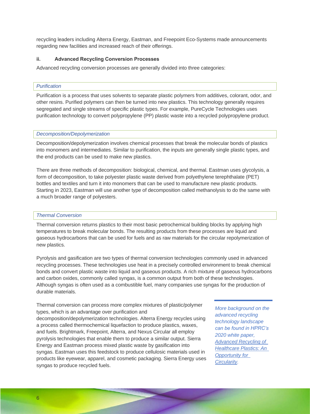recycling leaders including Alterra Energy, Eastman, and Freepoint Eco-Systems made announcements regarding new facilities and increased reach of their offerings.

#### <span id="page-7-0"></span>**ii. Advanced Recycling Conversion Processes**

Advanced recycling conversion processes are generally divided into three categories:

#### *Purification*

Purification is a process that uses solvents to separate plastic polymers from additives, colorant, odor, and other resins. Purified polymers can then be turned into new plastics. This technology generally requires segregated and single streams of specific plastic types. For example, PureCycle Technologies uses purification technology to convert polypropylene (PP) plastic waste into a recycled polypropylene product.

#### *Decomposition/Depolymerization*

Decomposition/depolymerization involves chemical processes that break the molecular bonds of plastics into monomers and intermediates. Similar to purification, the inputs are generally single plastic types, and the end products can be used to make new plastics.

There are three methods of decomposition: biological, chemical, and thermal. Eastman uses glycolysis, a form of decomposition, to take polyester plastic waste derived from polyethylene terephthalate (PET) bottles and textiles and turn it into monomers that can be used to manufacture new plastic products. Starting in 2023, Eastman will use another type of decomposition called methanolysis to do the same with a much broader range of polyesters.

#### *Thermal Conversion*

Thermal conversion returns plastics to their most basic petrochemical building blocks by applying high temperatures to break molecular bonds. The resulting products from these processes are liquid and gaseous hydrocarbons that can be used for fuels and as raw materials for the circular repolymerization of new plastics.

Pyrolysis and gasification are two types of thermal conversion technologies commonly used in advanced recycling processes. These technologies use heat in a precisely controlled environment to break chemical bonds and convert plastic waste into liquid and gaseous products. A rich mixture of gaseous hydrocarbons and carbon oxides, commonly called syngas, is a common output from both of these technologies. Although syngas is often used as a combustible fuel, many companies use syngas for the production of durable materials.

Thermal conversion can process more complex mixtures of plastic/polymer types, which is an advantage over purification and decomposition/depolymerization technologies. Alterra Energy recycles using a process called thermochemical liquefaction to produce plastics, waxes, and fuels. Brightmark, Freepoint, Alterra, and Nexus Circular all employ pyrolysis technologies that enable them to produce a similar output. Sierra Energy and Eastman process mixed plastic waste by gasification into syngas. Eastman uses this feedstock to produce cellulosic materials used in products like eyewear, apparel, and cosmetic packaging. Sierra Energy uses syngas to produce recycled fuels.

*More background on the advanced recycling technology landscape can be found in HPRC's 2020 white paper, [Advanced Recycling of](https://www.hprc.org/advanced-recycling-white-paper)  [Healthcare Plastics: An](https://www.hprc.org/advanced-recycling-white-paper)  [Opportunity for](https://www.hprc.org/advanced-recycling-white-paper)  [Circularity.](https://www.hprc.org/advanced-recycling-white-paper)*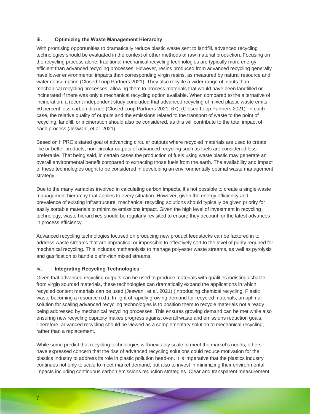## <span id="page-8-0"></span>**iii. Optimizing the Waste Management Hierarchy**

With promising opportunities to dramatically reduce plastic waste sent to landfill, advanced recycling technologies should be evaluated in the context of other methods of raw material production. Focusing on the recycling process alone, traditional mechanical recycling technologies are typically more energy efficient than advanced recycling processes. However, resins produced from advanced recycling generally have lower environmental impacts than corresponding virgin resins, as measured by natural resource and water consumption (Closed Loop Partners 2021). They also recycle a wider range of inputs than mechanical recycling processes, allowing them to process materials that would have been landfilled or incinerated if there was only a mechanical recycling option available. When compared to the alternative of incineration, a recent independent study concluded that advanced recycling of mixed plastic waste emits 50 percent less carbon dioxide (Closed Loop Partners 2021, 67), (Closed Loop Partners 2021). In each case, the relative quality of outputs and the emissions related to the transport of waste to the point of recycling, landfill, or incineration should also be considered, as this will contribute to the total impact of each process (Jeswani, et al. 2021).

Based on HPRC's stated goal of advancing circular outputs where recycled materials are used to create like or better products, non-circular outputs of advanced recycling such as fuels are considered less preferable. That being said, in certain cases the production of fuels using waste plastic may generate an overall environmental benefit compared to extracting those fuels from the earth. The availability and impact of these technologies ought to be considered in developing an environmentally optimal waste management strategy.

Due to the many variables involved in calculating carbon impacts, it's not possible to create a single waste management hierarchy that applies to every situation. However, given the energy efficiency and prevalence of existing infrastructure, mechanical recycling solutions should typically be given priority for easily sortable materials to minimize emissions impact. Given the high level of investment in recycling technology, waste hierarchies should be regularly revisited to ensure they account for the latest advances in process efficiency.

Advanced recycling technologies focused on producing new product feedstocks can be factored in to address waste streams that are impractical or impossible to effectively sort to the level of purity required for mechanical recycling. This includes methanolysis to manage polyester waste streams, as well as pyrolysis and gasification to handle olefin-rich mixed streams.

#### <span id="page-8-1"></span>**iv. Integrating Recycling Technologies**

Given that advanced recycling outputs can be used to produce materials with qualities indistinguishable from virgin sourced materials, these technologies can dramatically expand the applications in which recycled content materials can be used (Jeswani, et al. 2021) (Introducing chemical recycling: Plastic waste becoming a resource n.d.). In light of rapidly growing demand for recycled materials, an optimal solution for scaling advanced recycling technologies is to position them to recycle materials not already being addressed by mechanical recycling processes. This ensures growing demand can be met while also ensuring new recycling capacity makes progress against overall waste and emissions reduction goals. Therefore, advanced recycling should be viewed as a complementary solution to mechanical recycling, rather than a replacement.

While some predict that recycling technologies will inevitably scale to meet the market's needs, others have expressed concern that the rise of advanced recycling solutions could reduce motivation for the plastics industry to address its role in plastic pollution head-on. It is imperative that the plastics industry continues not only to scale to meet market demand, but also to invest in minimizing their environmental impacts including continuous carbon emissions reduction strategies. Clear and transparent measurement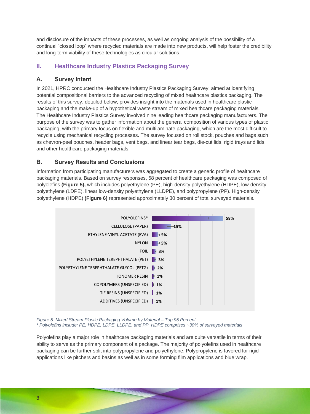and disclosure of the impacts of these processes, as well as ongoing analysis of the possibility of a continual "closed loop" where recycled materials are made into new products, will help foster the credibility and long-term viability of these technologies as circular solutions.

## <span id="page-9-0"></span>**II. Healthcare Industry Plastics Packaging Survey**

## <span id="page-9-1"></span>**A. Survey Intent**

In 2021, HPRC conducted the Healthcare Industry Plastics Packaging Survey, aimed at identifying potential compositional barriers to the advanced recycling of mixed healthcare plastics packaging. The results of this survey, detailed below, provides insight into the materials used in healthcare plastic packaging and the make-up of a hypothetical waste stream of mixed healthcare packaging materials. The Healthcare Industry Plastics Survey involved nine leading healthcare packaging manufacturers. The purpose of the survey was to gather information about the general composition of various types of plastic packaging, with the primary focus on flexible and multilaminate packaging, which are the most difficult to recycle using mechanical recycling processes. The survey focused on roll stock, pouches and bags such as chevron-peel pouches, header bags, vent bags, and linear tear bags, die-cut lids, rigid trays and lids, and other healthcare packaging materials.

## <span id="page-9-2"></span>**B. Survey Results and Conclusions**

Information from participating manufacturers was aggregated to create a generic profile of healthcare packaging materials. Based on survey responses, 58 percent of healthcare packaging was composed of polyolefins **(Figure 5),** which includes polyethylene (PE), high-density polyethylene (HDPE), low-density polyethylene (LDPE), linear low-density polyethylene (LLDPE), and polypropylene (PP). High-density polyethylene (HDPE) **(Figure 6)** represented approximately 30 percent of total surveyed materials.



*Figure 5: Mixed Stream Plastic Packaging Volume by Material – Top 95 Percent \* Polyolefins include: PE, HDPE, LDPE, LLDPE, and PP. HDPE comprises ~30% of surveyed materials* 

Polyolefins play a major role in healthcare packaging materials and are quite versatile in terms of their ability to serve as the primary component of a package. The majority of polyolefins used in healthcare packaging can be further split into polypropylene and polyethylene. Polypropylene is favored for rigid applications like pitchers and basins as well as in some forming film applications and blue wrap.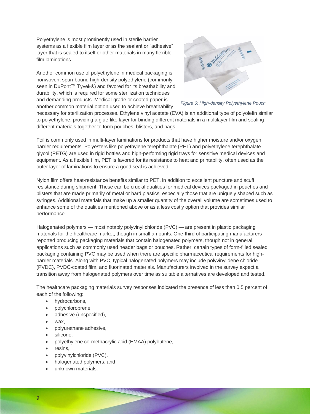Polyethylene is most prominently used in sterile barrier systems as a flexible film layer or as the sealant or "adhesive" layer that is sealed to itself or other materials in many flexible film laminations.

Another common use of polyethylene in medical packaging is nonwoven, spun-bound high-density polyethylene (commonly seen in DuPont<sup>™</sup> Tyvek®) and favored for its breathability and durability, which is required for some sterilization techniques and demanding products. Medical-grade or coated paper is another common material option used to achieve breathability



*Figure 6: High-density Polyethylene Pouch*

necessary for sterilization processes. Ethylene vinyl acetate (EVA) is an additional type of polyolefin similar to polyethylene, providing a glue-like layer for binding different materials in a multilayer film and sealing different materials together to form pouches, blisters, and bags.

Foil is commonly used in multi-layer laminations for products that have higher moisture and/or oxygen barrier requirements. Polyesters like polyethylene terephthalate (PET) and polyethylene terephthalate glycol (PETG) are used in rigid bottles and high-performing rigid trays for sensitive medical devices and equipment. As a flexible film, PET is favored for its resistance to heat and printability, often used as the outer layer of laminations to ensure a good seal is achieved.

Nylon film offers heat-resistance benefits similar to PET, in addition to excellent puncture and scuff resistance during shipment. These can be crucial qualities for medical devices packaged in pouches and blisters that are made primarily of metal or hard plastics, especially those that are uniquely shaped such as syringes. Additional materials that make up a smaller quantity of the overall volume are sometimes used to enhance some of the qualities mentioned above or as a less costly option that provides similar performance.

Halogenated polymers — most notably polyvinyl chloride (PVC) — are present in plastic packaging materials for the healthcare market, though in small amounts. One-third of participating manufacturers reported producing packaging materials that contain halogenated polymers, though not in general applications such as commonly used header bags or pouches. Rather, certain types of form-filled sealed packaging containing PVC may be used when there are specific pharmaceutical requirements for highbarrier materials. Along with PVC, typical halogenated polymers may include polyvinylidene chloride (PVDC), PVDC-coated film, and fluorinated materials. Manufacturers involved in the survey expect a transition away from halogenated polymers over time as suitable alternatives are developed and tested.

The healthcare packaging materials survey responses indicated the presence of less than 0.5 percent of each of the following:

- hydrocarbons,
- polychloroprene,
- adhesive (unspecified),
- wax,
- polyurethane adhesive,
- silicone,
- polyethylene co-methacrylic acid (EMAA) polybutene,
- resins,
- polyvinylchloride (PVC),
- halogenated polymers, and
- <span id="page-10-0"></span>• unknown materials.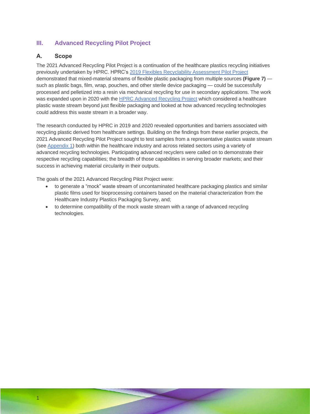## **III. Advanced Recycling Pilot Project**

## <span id="page-11-0"></span>**A. Scope**

1

The 2021 Advanced Recycling Pilot Project is a continuation of the healthcare plastics recycling initiatives previously undertaken by HPRC. HPRC's [2019 Flexibles Recyclability Assessment Pilot Project](https://www.hprc.org/flexibles-recycling-pilot) demonstrated that mixed-material streams of flexible plastic packaging from multiple sources **(Figure 7)** such as plastic bags, film, wrap, pouches, and other sterile device packaging — could be successfully processed and pelletized into a resin via mechanical recycling for use in secondary applications. The work was expanded upon in 2020 with the [HPRC Advanced Recycling Project](https://www.hprc.org/advanced-recycling-white-paper) which considered a healthcare plastic waste stream beyond just flexible packaging and looked at how advanced recycling technologies could address this waste stream in a broader way.

The research conducted by HPRC in 2019 and 2020 revealed opportunities and barriers associated with recycling plastic derived from healthcare settings. Building on the findings from these earlier projects, the 2021 Advanced Recycling Pilot Project sought to test samples from a representative plastics waste stream (see [Appendix 1\)](#page-24-0) both within the healthcare industry and across related sectors using a variety of advanced recycling technologies*.* Participating advanced recyclers were called on to demonstrate their respective recycling capabilities; the breadth of those capabilities in serving broader markets; and their success in achieving material circularity in their outputs.

The goals of the 2021 Advanced Recycling Pilot Project were:

- to generate a "mock" waste stream of uncontaminated healthcare packaging plastics and similar plastic films used for bioprocessing containers based on the material characterization from the Healthcare Industry Plastics Packaging Survey, and;
- to determine compatibility of the mock waste stream with a range of advanced recycling technologies.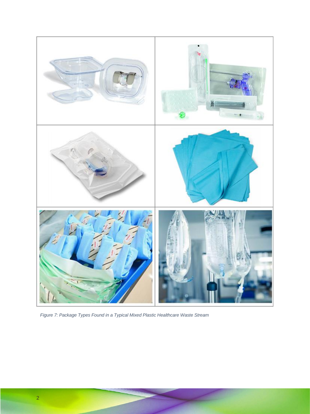

*Figure 7: Package Types Found in a Typical Mixed Plastic Healthcare Waste Stream*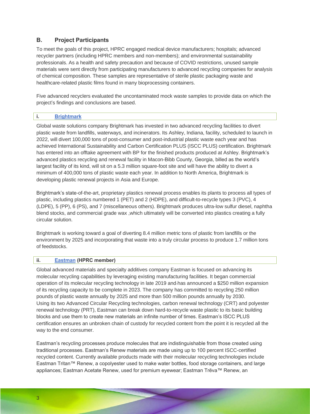## <span id="page-13-0"></span>**B. Project Participants**

To meet the goals of this project, HPRC engaged medical device manufacturers; hospitals; advanced recycler partners (including HPRC members and non-members); and environmental sustainability professionals. As a health and safety precaution and because of COVID restrictions, unused sample materials were sent directly from participating manufacturers to advanced recycling companies for analysis of chemical composition. These samples are representative of sterile plastic packaging waste and healthcare-related plastic films found in many bioprocessing containers.

Five advanced recyclers evaluated the uncontaminated mock waste samples to provide data on which the project's findings and conclusions are based.

## <span id="page-13-1"></span>**i. [Brightmark](http://www.brightmark.com/)**

Global waste solutions company Brightmark has invested in two advanced recycling facilities to divert plastic waste from landfills, waterways, and incinerators. Its Ashley, Indiana, facility, scheduled to launch in 2022, will divert 100,000 tons of post-consumer and post-industrial plastic waste each year and has achieved International Sustainability and Carbon Certification PLUS (ISCC PLUS) certification. Brightmark has entered into an offtake agreement with BP for the finished products produced at Ashley. Brightmark's advanced plastics recycling and renewal facility in Macon-Bibb County, Georgia, billed as the world's largest facility of its kind, will sit on a 5.3 million square-foot site and will have the ability to divert a minimum of 400,000 tons of plastic waste each year. In addition to North America, Brightmark is developing plastic renewal projects in Asia and Europe.

Brightmark's state-of-the-art, proprietary plastics renewal process enables its plants to process all types of plastic, including plastics numbered 1 (PET) and 2 (HDPE), and difficult-to-recycle types 3 (PVC), 4 (LDPE), 5 (PP), 6 (PS), and 7 (miscellaneous others). Brightmark produces ultra-low sulfur diesel, naphtha blend stocks, and commercial grade wax ,which ultimately will be converted into plastics creating a fully circular solution.

Brightmark is working toward a goal of diverting 8.4 million metric tons of plastic from landfills or the environment by 2025 and incorporating that waste into a truly circular process to produce 1.7 million tons of feedstocks.

## <span id="page-13-2"></span>**ii. [Eastman](http://www.eastman.com/) (HPRC member)**

Global advanced materials and specialty additives company Eastman is focused on advancing its molecular recycling capabilities by leveraging existing manufacturing facilities. It began commercial operation of its molecular recycling technology in late 2019 and has announced a \$250 million expansion of its recycling capacity to be complete in 2023. The company has committed to recycling 250 million pounds of plastic waste annually by 2025 and more than 500 million pounds annually by 2030. Using its two Advanced Circular Recycling technologies, carbon renewal technology (CRT) and polyester renewal technology (PRT), Eastman can break down hard-to-recycle waste plastic to its basic building blocks and use them to create new materials an infinite number of times. Eastman's ISCC PLUS certification ensures an unbroken chain of custody for recycled content from the point it is recycled all the way to the end consumer.

Eastman's recycling processes produce molecules that are indistinguishable from those created using traditional processes. Eastman's Renew materials are made using up to 100 percent ISCC-certified recycled content. Currently available products made with their molecular recycling technologies include Eastman Tritan™ Renew, a copolyester used to make water bottles, food storage containers, and large appliances; Eastman Acetate Renew, used for premium eyewear; Eastman Trēva™ Renew, an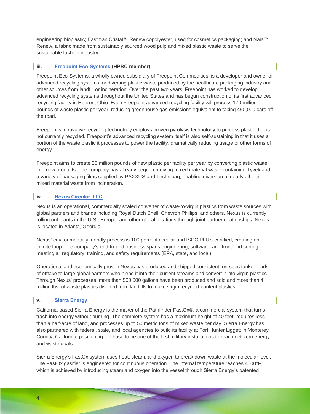engineering bioplastic; Eastman Cristal™ Renew copolyester, used for cosmetics packaging; and Naia™ Renew, a fabric made from sustainably sourced wood pulp and mixed plastic waste to serve the sustainable fashion industry.

## <span id="page-14-0"></span>**iii. [Freepoint Eco-Systems](http://www.freepointecosystems.com/) (HPRC member)**

Freepoint Eco-Systems, a wholly owned subsidiary of Freepoint Commodities, is a developer and owner of advanced recycling systems for diverting plastic waste produced by the healthcare packaging industry and other sources from landfill or incineration. Over the past two years, Freepoint has worked to develop advanced recycling systems throughout the United States and has begun construction of its first advanced recycling facility in Hebron, Ohio. Each Freepoint advanced recycling facility will process 170 million pounds of waste plastic per year, reducing greenhouse gas emissions equivalent to taking 450,000 cars off the road.

Freepoint's innovative recycling technology employs proven pyrolysis technology to process plastic that is not currently recycled. Freepoint's advanced recycling system itself is also self-sustaining in that it uses a portion of the waste plastic it processes to power the facility, dramatically reducing usage of other forms of energy.

Freepoint aims to create 26 million pounds of new plastic per facility per year by converting plastic waste into new products. The company has already begun receiving mixed material waste containing Tyvek and a variety of packaging films supplied by PAXXUS and Technipaq, enabling diversion of nearly all their mixed material waste from incineration.

#### <span id="page-14-1"></span>**iv. Nexus [Circular, LLC](http://www.nexuscircular.com/)**

Nexus is an operational, commercially scaled converter of waste-to-virgin plastics from waste sources with global partners and brands including Royal Dutch Shell, Chevron Phillips, and others. Nexus is currently rolling out plants in the U.S., Europe, and other global locations through joint partner relationships. Nexus is located in Atlanta, Georgia.

Nexus' environmentally friendly process is 100 percent circular and ISCC PLUS-certified, creating an infinite loop. The company's end-to-end business spans engineering, software, and front-end sorting, meeting all regulatory, training, and safety requirements (EPA, state, and local).

Operational and economically proven Nexus has produced and shipped consistent, on-spec tanker loads of offtake to large global partners who blend it into their current streams and convert it into virgin plastics. Through Nexus' processes, more than 500,000 gallons have been produced and sold and more than 4 million lbs. of waste plastics diverted from landfills to make virgin recycled-content plastics.

#### <span id="page-14-2"></span>**v. [Sierra Energy](http://www.sierraenergy.com/)**

California-based Sierra Energy is the maker of the Pathfinder FastOx®, a commercial system that turns trash into energy without burning. The complete system has a maximum height of 40 feet, requires less than a half-acre of land, and processes up to 50 metric tons of mixed waste per day. Sierra Energy has also partnered with federal, state, and local agencies to build its facility at Fort Hunter Liggett in Monterey County, California, positioning the base to be one of the first military installations to reach net-zero energy and waste goals.

Sierra Energy's FastOx system uses heat, steam, and oxygen to break down waste at the molecular level. The FastOx gasifier is engineered for continuous operation. The internal temperature reaches 4000°F, which is achieved by introducing steam and oxygen into the vessel through Sierra Energy's patented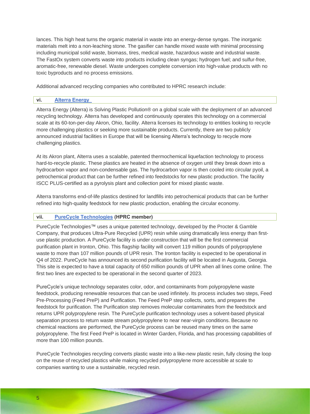lances. This high heat turns the organic material in waste into an energy-dense syngas. The inorganic materials melt into a non-leaching stone. The gasifier can handle mixed waste with minimal processing including municipal solid waste, biomass, tires, medical waste, hazardous waste and industrial waste. The FastOx system converts waste into products including clean syngas; hydrogen fuel; and sulfur-free, aromatic-free, renewable diesel. Waste undergoes complete conversion into high-value products with no toxic byproducts and no process emissions.

Additional advanced recycling companies who contributed to HPRC research include:

#### <span id="page-15-0"></span>**vi. [Alterra Energy](http://www.alterraenergy.com/)**

Alterra Energy (Alterra) is Solving Plastic Pollution® on a global scale with the deployment of an advanced recycling technology. Alterra has developed and continuously operates this technology on a commercial scale at its 60-ton-per-day Akron, Ohio, facility. Alterra licenses its technology to entities looking to recycle more challenging plastics or seeking more sustainable products. Currently, there are two publicly announced industrial facilities in Europe that will be licensing Alterra's technology to recycle more challenging plastics.

At its Akron plant, Alterra uses a scalable, patented thermochemical liquefaction technology to process hard-to-recycle plastic. These plastics are heated in the absence of oxygen until they break down into a hydrocarbon vapor and non-condensable gas. The hydrocarbon vapor is then cooled into circular pyoil, a petrochemical product that can be further refined into feedstocks for new plastic production. The facility ISCC PLUS-certified as a pyrolysis plant and collection point for mixed plastic waste.

Alterra transforms end-of-life plastics destined for landfills into petrochemical products that can be further refined into high-quality feedstock for new plastic production, enabling the circular economy.

## <span id="page-15-1"></span>**vii. [PureCycle Technologies](http://www.purecycle.com/) (HPRC member)**

PureCycle Technologies™ uses a unique patented technology, developed by the Procter & Gamble Company, that produces Ultra-Pure Recycled (UPR) resin while using dramatically less energy than firstuse plastic production. A PureCycle facility is under construction that will be the first commercial purification plant in Ironton, Ohio. This flagship facility will convert 119 million pounds of polypropylene waste to more than 107 million pounds of UPR resin. The Ironton facility is expected to be operational in Q4 of 2022. PureCycle has announced its second purification facility will be located in Augusta, Georgia. This site is expected to have a total capacity of 650 million pounds of UPR when all lines come online. The first two lines are expected to be operational in the second quarter of 2023.

PureCycle's unique technology separates color, odor, and contaminants from polypropylene waste feedstock, producing renewable resources that can be used infinitely. Its process includes two steps, Feed Pre-Processing (Feed PreP) and Purification. The Feed PreP step collects, sorts, and prepares the feedstock for purification. The Purification step removes molecular contaminates from the feedstock and returns UPR polypropylene resin. The PureCycle purification technology uses a solvent-based physical separation process to return waste stream polypropylene to near near-virgin conditions. Because no chemical reactions are performed, the PureCycle process can be reused many times on the same polypropylene. The first Feed PreP is located in Winter Garden, Florida, and has processing capabilities of more than 100 million pounds.

PureCycle Technologies recycling converts plastic waste into a like-new plastic resin, fully closing the loop on the reuse of recycled plastics while making recycled polypropylene more accessible at scale to companies wanting to use a sustainable, recycled resin.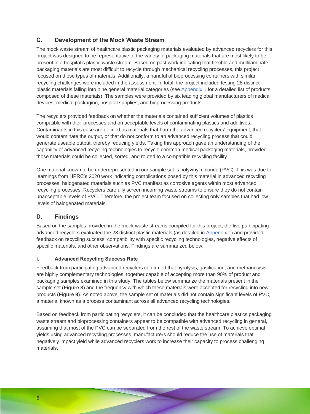## <span id="page-16-0"></span>**C. Development of the Mock Waste Stream**

The mock waste stream of healthcare plastic packaging materials evaluated by advanced recyclers for this project was designed to be representative of the variety of packaging materials that are most likely to be present in a hospital's plastic waste stream. Based on past work indicating that flexible and multilaminate packaging materials are most difficult to recycle through mechanical recycling processes, this project focused on these types of materials. Additionally, a handful of bioprocessing containers with similar recycling challenges were included in the assessment. In total, the project included testing 28 distinct plastic materials falling into nine general material categories (see [Appendix 1](#page-24-0) for a detailed list of products composed of these materials). The samples were provided by six leading global manufacturers of medical devices, medical packaging, hospital supplies, and bioprocessing products.

The recyclers provided feedback on whether the materials contained sufficient volumes of plastics compatible with their processes and on acceptable levels of contaminating plastics and additives. Contaminants in this case are defined as materials that harm the advanced recyclers' equipment, that would contaminate the output, or that do not conform to an advanced recycling process that could generate useable output, thereby reducing yields. Taking this approach gave an understanding of the capability of advanced recycling technologies to recycle common medical packaging materials, provided those materials could be collected, sorted, and routed to a compatible recycling facility.

One material known to be underrepresented in our sample set is polyvinyl chloride (PVC). This was due to learnings from HPRC's 2020 work indicating complications posed by this material in advanced recycling processes; halogenated materials such as PVC manifest as corrosive agents within most advanced recycling processes. Recyclers carefully screen incoming waste streams to ensure they do not contain unacceptable levels of PVC. Therefore, the project team focused on collecting only samples that had low levels of halogenated materials.

## <span id="page-16-1"></span>**D. Findings**

Based on the samples provided in the mock waste streams compiled for this project, the five participating advanced recyclers evaluated the 28 distinct plastic materials (as detailed in [Appendix 1\)](#page-24-0) and provided feedback on recycling success, compatibility with specific recycling technologies, negative effects of specific materials, and other observations. Findings are summarized below.

## <span id="page-16-2"></span>**i. Advanced Recycling Success Rate**

Feedback from participating advanced recyclers confirmed that pyrolysis, gasification, and methanolysis are highly complementary technologies, together capable of accepting more than 90% of product and packaging samples examined in this study. The tables below summarize the materials present in the sample set **(Figure 8)** and the frequency with which these materials were accepted for recycling into new products **(Figure 9)**. As noted above, the sample set of materials did not contain significant levels of PVC, a material known as a process contaminant across all advanced recycling technologies.

Based on feedback from participating recyclers, it can be concluded that the healthcare plastics packaging waste stream and bioprocessing containers appear to be compatible with advanced recycling in general, assuming that most of the PVC can be separated from the rest of the waste stream. To achieve optimal yields using advanced recycling processes, manufacturers should reduce the use of materials that negatively impact yield while advanced recyclers work to increase their capacity to process challenging materials.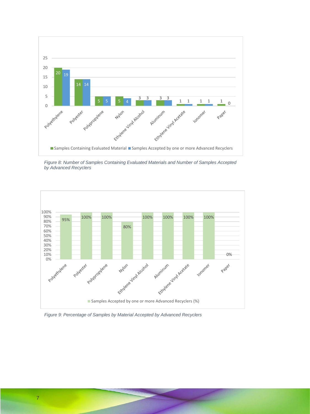

*Figure 8: Number of Samples Containing Evaluated Materials and Number of Samples Accepted by Advanced Recyclers*



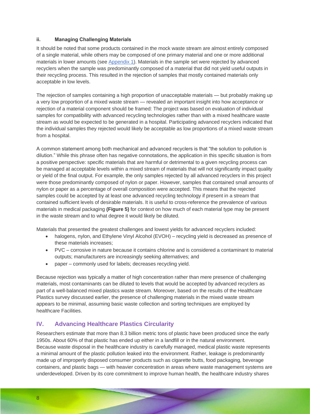## <span id="page-18-0"></span>**ii. Managing Challenging Materials**

It should be noted that some products contained in the mock waste stream are almost entirely composed of a single material, while others may be composed of one primary material and one or more additional materials in lower amounts (see [Appendix 1\)](#page-24-0). Materials in the sample set were rejected by advanced recyclers when the sample was predominantly composed of a material that did not yield useful outputs in their recycling process. This resulted in the rejection of samples that mostly contained materials only acceptable in low levels.

The rejection of samples containing a high proportion of unacceptable materials — but probably making up a very low proportion of a mixed waste stream — revealed an important insight into how acceptance or rejection of a material component should be framed: The project was based on evaluation of individual samples for compatibility with advanced recycling technologies rather than with a mixed healthcare waste stream as would be expected to be generated in a hospital. Participating advanced recyclers indicated that the individual samples they rejected would likely be acceptable as low proportions of a mixed waste stream from a hospital.

A common statement among both mechanical and advanced recyclers is that "the solution to pollution is dilution." While this phrase often has negative connotations, the application in this specific situation is from a positive perspective: specific materials that are harmful or detrimental to a given recycling process can be managed at acceptable levels within a mixed stream of materials that will not significantly impact quality or yield of the final output. For example, the only samples rejected by all advanced recyclers in this project were those predominantly composed of nylon or paper. However, samples that contained small amounts of nylon or paper as a percentage of overall composition were accepted. This means that the rejected samples could be accepted by at least one advanced recycling technology if present in a stream that contained sufficient levels of desirable materials. It is useful to cross-reference the prevalence of various materials in medical packaging **(Figure 5)** for context on how much of each material type may be present in the waste stream and to what degree it would likely be diluted.

Materials that presented the greatest challenges and lowest yields for advanced recyclers included:

- halogens, nylon, and Ethylene Vinyl Alcohol (EVOH) recycling yield is decreased as presence of these materials increases;
- PVC corrosive in nature because it contains chlorine and is considered a contaminant to material outputs; manufacturers are increasingly seeking alternatives; and
- paper commonly used for labels; decreases recycling yield.

Because rejection was typically a matter of high concentration rather than mere presence of challenging materials, most contaminants can be diluted to levels that would be accepted by advanced recyclers as part of a well-balanced mixed plastics waste stream. Moreover, based on the results of the Healthcare Plastics survey discussed earlier, the presence of challenging materials in the mixed waste stream appears to be minimal, assuming basic waste collection and sorting techniques are employed by healthcare Facilities.

## <span id="page-18-1"></span>**IV. Advancing Healthcare Plastics Circularity**

Researchers estimate that more than 8.3 billion metric tons of plastic have been produced since the early 1950s. About 60% of that plastic has ended up either in a landfill or in the natural environment. Because waste disposal in the healthcare industry is carefully managed, medical plastic waste represents a minimal amount of the plastic pollution leaked into the environment. Rather, leakage is predominantly made up of improperly disposed consumer products such as cigarette butts, food packaging, beverage containers, and plastic bags — with heavier concentration in areas where waste management systems are underdeveloped. Driven by its core commitment to improve human health, the healthcare industry shares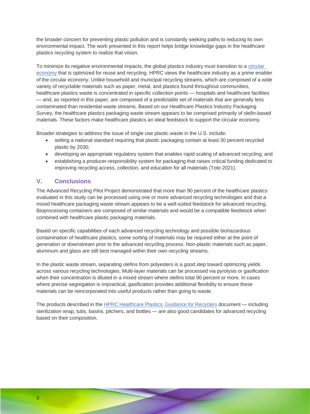the broader concern for preventing plastic pollution and is constantly seeking paths to reducing its own environmental impact. The work presented in this report helps bridge knowledge gaps in the healthcare plastics recycling system to realize that vision.

To minimize its negative environmental impacts, the global plastics industry must transition to a [circular](https://www.nationalgeographic.com/magazine/article/how-a-circular-economy-could-save-the-world-feature)  [economy](https://www.nationalgeographic.com/magazine/article/how-a-circular-economy-could-save-the-world-feature) that is optimized for reuse and recycling. HPRC views the healthcare industry as a prime enabler of the circular economy. Unlike household and municipal recycling streams, which are composed of a wide variety of recyclable materials such as paper, metal, and plastics found throughout communities, healthcare plastics waste is concentrated in specific collection points — hospitals and healthcare facilities — and, as reported in this paper, are composed of a predictable set of materials that are generally less contaminated than residential waste streams. Based on our Healthcare Plastics Industry Packaging Survey, the healthcare plastics packaging waste stream appears to be comprised primarily of olefin-based materials. These factors make healthcare plastics an ideal feedstock to support the circular economy.

Broader strategies to address the issue of single use plastic waste in the U.S. include:

- setting a national standard requiring that plastic packaging contain at least 30 percent recycled plastic by 2030;
- developing an appropriate regulatory system that enables rapid scaling of advanced recycling; and
- establishing a producer-responsibility system for packaging that raises critical funding dedicated to improving recycling access, collection, and education for all materials (Toto 2021).

## <span id="page-19-0"></span>**V. Conclusions**

The Advanced Recycling Pilot Project demonstrated that more than 90 percent of the healthcare plastics evaluated in this study can be processed using one or more advanced recycling technologies and that a mixed healthcare packaging waste stream appears to be a well-suited feedstock for advanced recycling. Bioprocessing containers are composed of similar materials and would be a compatible feedstock when combined with healthcare plastic packaging materials.

Based on specific capabilities of each advanced recycling technology and possible biohazardous contamination of healthcare plastics, some sorting of materials may be required either at the point of generation or downstream prior to the advanced recycling process. Non-plastic materials such as paper, aluminum and glass are still best managed within their own recycling streams.

In the plastic waste stream, separating olefins from polyesters is a good step toward optimizing yields across various recycling technologies. Multi-layer materials can be processed via pyrolysis or gasification when their concentration is diluted in a mixed stream where olefins total 90 percent or more. In cases where precise segregation is impractical, gasification provides additional flexibility to ensure these materials can be reincorporated into useful products rather than going to waste.

<span id="page-19-1"></span>The products described in the [HPRC Healthcare Plastics: Guidance for Recyclers](https://40864656-dd71-4c8a-a82d-dffa36a152a5.filesusr.com/ugd/49d7a0_dabe8b6196544cd881c72da58d93d03a.pdf) document — including sterilization wrap, tubs, basins, pitchers, and bottles — are also good candidates for advanced recycling based on their composition.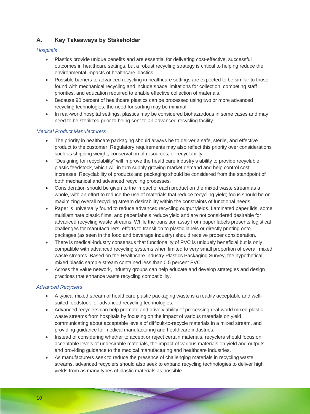## **A. Key Takeaways by Stakeholder**

## *Hospitals*

- Plastics provide unique benefits and are essential for delivering cost-effective, successful outcomes in healthcare settings, but a robust recycling strategy is critical to helping reduce the environmental impacts of healthcare plastics.
- Possible barriers to advanced recycling in healthcare settings are expected to be similar to those found with mechanical recycling and include space limitations for collection, competing staff priorities, and education required to enable effective collection of materials.
- Because 90 percent of healthcare plastics can be processed using two or more advanced recycling technologies, the need for sorting may be minimal.
- In real-world hospital settings, plastics may be considered biohazardous in some cases and may need to be sterilized prior to being sent to an advanced recycling facility.

## *Medical Product Manufacturers*

- The priority in healthcare packaging should always be to deliver a safe, sterile, and effective product to the customer. Regulatory requirements may also reflect this priority over considerations such as shipping weight, conservation of resources, or recyclability.
- "Designing for recyclability" will improve the healthcare industry's ability to provide recyclable plastic feedstock, which will in turn supply growing market demand and help control cost increases. Recyclability of products and packaging should be considered from the standpoint of both mechanical and advanced recycling processes.
- Consideration should be given to the impact of each product on the mixed waste stream as a whole, with an effort to reduce the use of materials that reduce recycling yield; focus should be on maximizing overall recycling stream desirability within the constraints of functional needs.
- Paper is universally found to reduce advanced recycling output yields. Laminated paper lids, some multilaminate plastic films, and paper labels reduce yield and are not considered desirable for advanced recycling waste streams. While the transition away from paper labels presents logistical challenges for manufacturers, efforts to transition to plastic labels or directly printing onto packages (as seen in the food and beverage industry) should receive proper consideration.
- There is medical-industry consensus that functionality of PVC is uniquely beneficial but is only compatible with advanced recycling systems when limited to very small proportion of overall mixed waste streams. Based on the Healthcare Industry Plastics Packaging Survey, the hypothetical mixed plastic sample stream contained less than 0.5 percent PVC.
- Across the value network, industry groups can help educate and develop strategies and design practices that enhance waste recycling compatibility.

#### *Advanced Recyclers*

- A typical mixed stream of healthcare plastic packaging waste is a readily acceptable and wellsuited feedstock for advanced recycling technologies.
- Advanced recyclers can help promote and drive viability of processing real-world mixed plastic waste streams from hospitals by focusing on the impact of various materials on yield, communicating about acceptable levels of difficult-to-recycle materials in a mixed stream, and providing guidance for medical manufacturing and healthcare industries.
- Instead of considering whether to accept or reject certain materials, recyclers should focus on acceptable levels of undesirable materials, the impact of various materials on yield and outputs, and providing guidance to the medical manufacturing and healthcare industries.
- As manufacturers seek to reduce the presence of challenging materials in recycling waste streams, advanced recyclers should also seek to expand recycling technologies to deliver high yields from as many types of plastic materials as possible.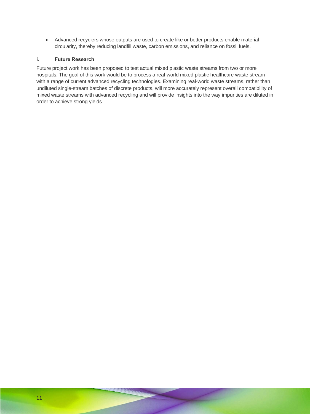• Advanced recyclers whose outputs are used to create like or better products enable material circularity, thereby reducing landfill waste, carbon emissions, and reliance on fossil fuels.

## <span id="page-21-0"></span>**i. Future Research**

Future project work has been proposed to test actual mixed plastic waste streams from two or more hospitals. The goal of this work would be to process a real-world mixed plastic healthcare waste stream with a range of current advanced recycling technologies. Examining real-world waste streams, rather than undiluted single-stream batches of discrete products, will more accurately represent overall compatibility of mixed waste streams with advanced recycling and will provide insights into the way impurities are diluted in order to achieve strong yields.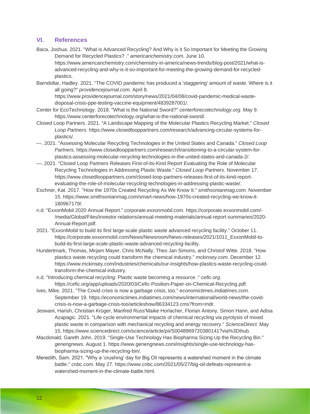## <span id="page-22-0"></span>**VI. References**

Baca, Joshua. 2021. "What is Advanced Recycling? And Why is it So Important for Meeting the Growing Demand for Recycled Plastics? ." *americanchemistry.com.* June 10.

https://www.americanchemistry.com/chemistry-in-america/news-trends/blog-post/2021/what-isadvanced-recycling-and-why-is-it-so-important-for-meeting-the-growing-demand-for-recycledplastics.

Barndollar, Hadley. 2021. "The COVID pandemic has produced a 'staggering' amount of waste. Where is it all going?" *providencejournal.com.* April 8.

https://www.providencejournal.com/story/news/2021/04/08/covid-pandemic-medical-wastedisposal-crisis-ppe-testing-vaccine-equipment/4839287001/.

- Center for EcoTechnology. 2018. "What is the National Sword?" *centerforecotechnology.org.* May 9. https://www.centerforecotechnology.org/what-is-the-national-sword/.
- Closed Loop Partners. 2021. "A Landscape Mapping of the Molecular Plastics Recycling Market." *Closed Loop Partners.* https://www.closedlooppartners.com/research/advancing-circular-systems-forplastics/.
- —. 2021. "Assessing Molecular Recycling Technologies in the United States and Canada." *Closed Loop Partners.* https://www.closedlooppartners.com/research/transitioning-to-a-circular-system-forplastics-assessing-molecular-recycling-technologies-in-the-united-states-and-canada-2/.
- —. 2021. "Closed Loop Partners Releases First-of-its-Kind Report Evaluating the Role of Molecular Recycling Technologies in Addressing Plastic Waste." *Closed Loop Partners.* November 17. https://www.closedlooppartners.com/closed-loop-partners-releases-first-of-its-kind-reportevaluating-the-role-of-molecular-recycling-technologies-in-addressing-plastic-waste/.
- Eschner, Kat. 2017. "How the 1970s Created Recycling As We Know It." *smithsonianmag.com.* November 15. https://www.smithsonianmag.com/smart-news/how-1970s-created-recycling-we-know-it-180967179/.
- n.d. "ExxonMobil 2020 Annual Report." *corporate.exxonmobil.com.* https://corporate.exxonmobil.com/- /media/Global/Files/investor-relations/annual-meeting-materials/annual-report-summaries/2020- Annual-Report.pdf.
- 2021. "ExxonMobil to build its first large-scale plastic waste advanced recycling facility." October 11. https://corporate.exxonmobil.com/News/Newsroom/News-releases/2021/1011\_ExxonMobil-tobuild-its-first-large-scale-plastic-waste-advanced-recycling-facility.
- Hundertmark, Thomas, Mirjam Mayer, Chris McNally, Theo Jan Simons, and Christof Witte. 2018. "How plastics waste recycling could transform the chemical industry." *mckinsey.com.* December 12. https://www.mckinsey.com/industries/chemicals/our-insights/how-plastics-waste-recycling-couldtransform-the-chemical-industry.
- n.d. "Introducing chemical recycling: Plastic waste becoming a resource ." *cefic.org.* https://cefic.org/app/uploads/2020/03/Cefic-Position-Paper-on-Chemical-Recycling.pdf.
- Ives, Mike. 2021. "The Covid crisis is now a garbage crisis, too." *economictimes.indiatimes.com.* September 19. https://economictimes.indiatimes.com/news/international/world-news/the-covidcrisis-is-now-a-garbage-crisis-too/articleshow/86334123.cms?from=mdr.
- Jeswani, Harish, Christian Krüger, Manfred Russ'Maike Horlacher, Florian Antony, Simon Hann, and Adisa Azapagic. 2021. "Life cycle environmental impacts of chemical recycling via pyrolysis of mixed plastic waste in comparison with mechanical recycling and energy recovery." *ScienceDirect.* May 15. https://www.sciencedirect.com/science/article/pii/S0048969720380141?via%3Dihub.
- Macdonald, Gareth John. 2019. "Single-Use Technology Has Biopharma Sizing Up the Recycling Bin." *genengnews.* August 1. https://www.genengnews.com/insights/single-use-technology-hasbiopharma-sizing-up-the-recycling-bin/.
- Meredith, Sam. 2021. "Why a 'crushing' day for Big Oil represents a watershed moment in the climate battle." *cnbc.com.* May 27. https://www.cnbc.com/2021/05/27/big-oil-defeats-represent-awatershed-moment-in-the-climate-battle.html.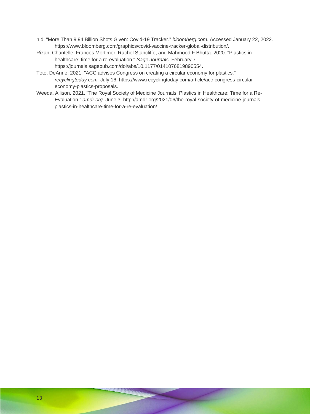- n.d. "More Than 9.94 Billion Shots Given: Covid-19 Tracker." *bloomberg.com.* Accessed January 22, 2022. https://www.bloomberg.com/graphics/covid-vaccine-tracker-global-distribution/.
- Rizan, Chantelle, Frances Mortimer, Rachel Stancliffe, and Mahmood F Bhutta. 2020. "Plastics in healthcare: time for a re-evaluation." *Sage Journals.* February 7. https://journals.sagepub.com/doi/abs/10.1177/0141076819890554.
- Toto, DeAnne. 2021. "ACC advises Congress on creating a circular economy for plastics." *recyclingtoday.com.* July 16. https://www.recyclingtoday.com/article/acc-congress-circulareconomy-plastics-proposals.
- Weeda, Allison. 2021. "The Royal Society of Medicine Journals: Plastics in Healthcare: Time for a Re-Evaluation." *amdr.org.* June 3. http://amdr.org/2021/06/the-royal-society-of-medicine-journalsplastics-in-healthcare-time-for-a-re-evaluation/.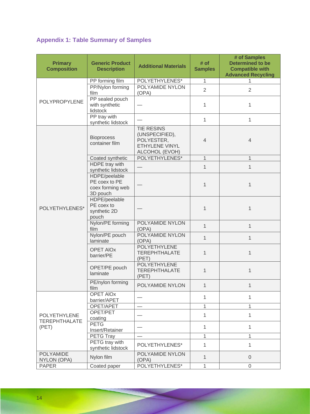# <span id="page-24-0"></span>**Appendix 1: Table Summary of Samples**

| <b>Primary</b><br><b>Composition</b>                 | <b>Generic Product</b><br><b>Description</b>                   | <b>Additional Materials</b>                                                           | # of<br><b>Samples</b> | # of Samples<br><b>Determined to be</b><br><b>Compatible with</b><br><b>Advanced Recycling</b> |
|------------------------------------------------------|----------------------------------------------------------------|---------------------------------------------------------------------------------------|------------------------|------------------------------------------------------------------------------------------------|
|                                                      | PP forming film                                                | POLYETHYLENES*                                                                        | $\mathbf{1}$           | 1                                                                                              |
| <b>POLYPROPYLENE</b>                                 | PP/Nylon forming<br>film                                       | POLYAMIDE NYLON<br>(OPA)                                                              | $\overline{2}$         | $\overline{2}$                                                                                 |
|                                                      | PP sealed pouch<br>with synthetic<br>lidstock                  |                                                                                       | $\mathbf{1}$           | 1                                                                                              |
|                                                      | PP tray with<br>synthetic lidstock                             |                                                                                       | $\mathbf{1}$           | $\mathbf{1}$                                                                                   |
|                                                      | <b>Bioprocess</b><br>container film                            | <b>TIE RESINS</b><br>(UNSPECIFIED),<br>POLYESTER,<br>ETHYLENE VINYL<br>ALCOHOL (EVOH) | $\overline{4}$         | $\overline{4}$                                                                                 |
|                                                      | Coated synthetic                                               | POLYETHYLENES*                                                                        | $\mathbf{1}$           | 1                                                                                              |
| POLYETHYLENES*                                       | HDPE tray with<br>synthetic lidstock                           |                                                                                       | 1                      | 1                                                                                              |
|                                                      | HDPE/peelable<br>PE coex to PE<br>coex forming web<br>3D pouch |                                                                                       | $\mathbf{1}$           | 1                                                                                              |
|                                                      | HDPE/peelable<br>PE coex to<br>synthetic 2D<br>pouch           |                                                                                       | $\mathbf{1}$           | 1                                                                                              |
|                                                      | Nylon/PE forming<br>film                                       | POLYAMIDE NYLON<br>(OPA)                                                              | $\mathbf{1}$           | $\mathbf{1}$                                                                                   |
|                                                      | Nylon/PE pouch<br>laminate                                     | POLYAMIDE NYLON<br>(OPA)                                                              | $\mathbf{1}$           | 1                                                                                              |
|                                                      | <b>OPET AIOX</b><br>barrier/PE                                 | POLYETHYLENE<br><b>TEREPHTHALATE</b><br>(PET)                                         | $\mathbf{1}$           | 1                                                                                              |
|                                                      | OPET/PE pouch<br>laminate                                      | <b>POLYETHYLENE</b><br><b>TEREPHTHALATE</b><br>(PET)                                  | 1                      | 1                                                                                              |
|                                                      | PE/nylon forming<br>film                                       | POLYAMIDE NYLON                                                                       | 1                      | $\mathbf{1}$                                                                                   |
|                                                      | <b>OPET AIOx</b><br>barrier/APET                               |                                                                                       | $\mathbf{1}$           | 1                                                                                              |
|                                                      | OPET/APET                                                      | $\overbrace{\phantom{123221111}}$                                                     | $\mathbf{1}$           | 1                                                                                              |
| <b>POLYETHYLENE</b><br><b>TEREPHTHALATE</b><br>(PET) | OPET/PET<br>coating                                            |                                                                                       | 1                      | 1                                                                                              |
|                                                      | <b>PETG</b><br>Insert/Retainer                                 |                                                                                       | $\mathbf{1}$           | 1                                                                                              |
|                                                      | PETG Tray                                                      |                                                                                       | 1                      | 1                                                                                              |
|                                                      | PETG tray with<br>synthetic lidstock                           | POLYETHYLENES*                                                                        | $\mathbf{1}$           | 1                                                                                              |
| <b>POLYAMIDE</b><br>NYLON (OPA)                      | Nylon film                                                     | POLYAMIDE NYLON<br>(OPA)                                                              | $\mathbf{1}$           | $\overline{0}$                                                                                 |
| <b>PAPER</b>                                         | Coated paper                                                   | POLYETHYLENES*                                                                        | $\mathbf{1}$           | $\mathbf 0$                                                                                    |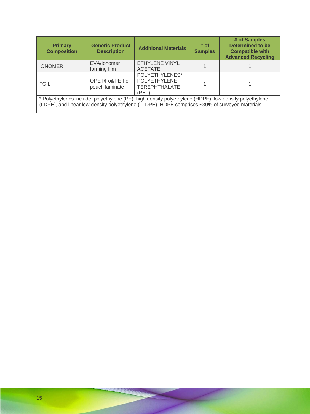| <b>Primary</b><br><b>Composition</b>                                                                                                                                                                      | <b>Generic Product</b><br><b>Description</b> | <b>Additional Materials</b>                                             | # of<br><b>Samples</b> | # of Samples<br><b>Determined to be</b><br><b>Compatible with</b><br><b>Advanced Recycling</b> |  |  |
|-----------------------------------------------------------------------------------------------------------------------------------------------------------------------------------------------------------|----------------------------------------------|-------------------------------------------------------------------------|------------------------|------------------------------------------------------------------------------------------------|--|--|
| <b>IONOMER</b>                                                                                                                                                                                            | EVA/lonomer<br>forming film                  | <b>ETHYLENE VINYL</b><br><b>ACETATE</b>                                 |                        |                                                                                                |  |  |
| <b>FOIL</b>                                                                                                                                                                                               | <b>OPET/Foil/PE Foil</b><br>pouch laminate   | POLYETHYLENES*,<br><b>POLYETHYLENE</b><br><b>TEREPHTHALATE</b><br>(PET) |                        |                                                                                                |  |  |
| * Polyethylenes include: polyethylene (PE), high density polyethylene (HDPE), low density polyethylene<br>(LDPE), and linear low-density polyethylene (LLDPE). HDPE comprises ~30% of surveyed materials. |                                              |                                                                         |                        |                                                                                                |  |  |